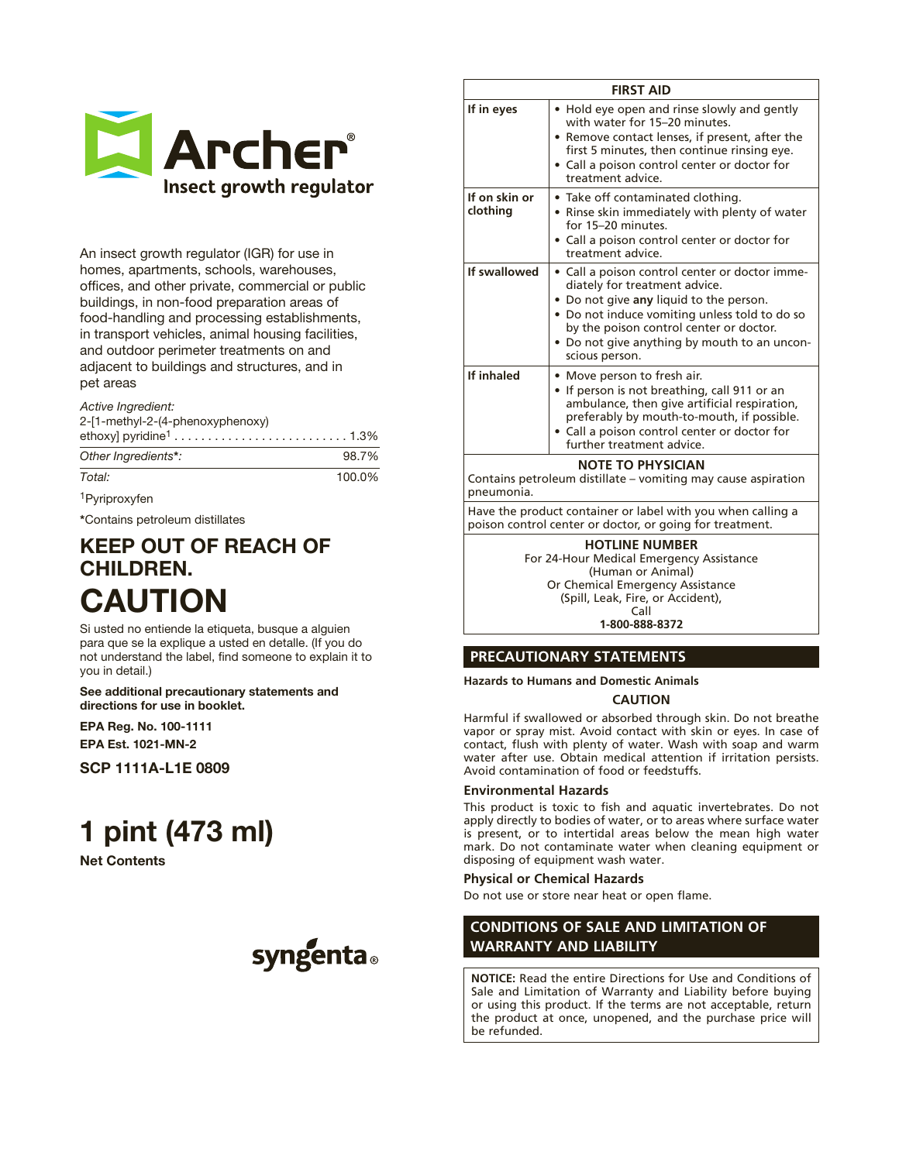

An insect growth regulator (IGR) for use in homes, apartments, schools, warehouses, offices, and other private, commercial or public buildings, in non-food preparation areas of food-handling and processing establishments, in transport vehicles, animal housing facilities, and outdoor perimeter treatments on and adjacent to buildings and structures, and in pet areas

#### *Active Ingredient:*

2-[1-methyl-2-(4-phenoxyphenoxy)

| $\sim$ $\cdot$ |  |  |  |  |  |  |  |  |  |  |  |  | $\sim$ $\sim$ $\sim$ $\sim$ |  |
|----------------|--|--|--|--|--|--|--|--|--|--|--|--|-----------------------------|--|

| Other Ingredients*: | 98.7%  |
|---------------------|--------|
| Total:              | 100.0% |

1Pyriproxyfen

\*Contains petroleum distillates

# KEEP OUT OF REACH OF CHILDREN. CAUTION

Si usted no entiende la etiqueta, busque a alguien para que se la explique a usted en detalle. (If you do not understand the label, find someone to explain it to you in detail.)

See additional precautionary statements and directions for use in booklet.

EPA Reg. No. 100-1111 EPA Est. 1021-MN-2

SCP 1111A-L1E 0809

# 1 pint (473 ml)

# Net Contents



|                           | <b>FIRST AID</b>                                                                                                                                                                                                                                                                         |
|---------------------------|------------------------------------------------------------------------------------------------------------------------------------------------------------------------------------------------------------------------------------------------------------------------------------------|
| If in eyes                | • Hold eye open and rinse slowly and gently<br>with water for 15-20 minutes.<br>• Remove contact lenses, if present, after the<br>first 5 minutes, then continue rinsing eye.<br>• Call a poison control center or doctor for<br>treatment advice.                                       |
| If on skin or<br>clothing | • Take off contaminated clothing.<br>• Rinse skin immediately with plenty of water<br>for 15-20 minutes.<br>• Call a poison control center or doctor for<br>treatment advice.                                                                                                            |
| If swallowed              | · Call a poison control center or doctor imme-<br>diately for treatment advice.<br>• Do not give any liquid to the person.<br>. Do not induce vomiting unless told to do so<br>by the poison control center or doctor.<br>• Do not give anything by mouth to an uncon-<br>scious person. |
| If inhaled                | • Move person to fresh air.<br>• If person is not breathing, call 911 or an<br>ambulance, then give artificial respiration,<br>preferably by mouth-to-mouth, if possible.<br>• Call a poison control center or doctor for<br>further treatment advice.                                   |
| pneumonia.                | <b>NOTE TO PHYSICIAN</b><br>Contains petroleum distillate – vomiting may cause aspiration                                                                                                                                                                                                |
|                           | Have the product container or label with you when calling a<br>poison control center or doctor, or going for treatment.                                                                                                                                                                  |
|                           | <b>HOTLINE NUMBER</b><br>For 24-Hour Medical Emergency Assistance<br>(Human or Animal)                                                                                                                                                                                                   |

Or Chemical Emergency Assistance (Spill, Leak, Fire, or Accident), Call

**1-800-888-8372**

# **PRECAUTIONARY STATEMENTS**

**Hazards to Humans and Domestic Animals**

#### **CAUTION**

Harmful if swallowed or absorbed through skin. Do not breathe vapor or spray mist. Avoid contact with skin or eyes. In case of contact, flush with plenty of water. Wash with soap and warm water after use. Obtain medical attention if irritation persists. Avoid contamination of food or feedstuffs.

#### **Environmental Hazards**

This product is toxic to fish and aquatic invertebrates. Do not apply directly to bodies of water, or to areas where surface water is present, or to intertidal areas below the mean high water mark. Do not contaminate water when cleaning equipment or disposing of equipment wash water.

#### **Physical or Chemical Hazards**

Do not use or store near heat or open flame.

# **CONDITIONS OF SALE AND LIMITATION OF WARRANTY AND LIABILITY**

**NOTICE:** Read the entire Directions for Use and Conditions of Sale and Limitation of Warranty and Liability before buying or using this product. If the terms are not acceptable, return the product at once, unopened, and the purchase price will be refunded.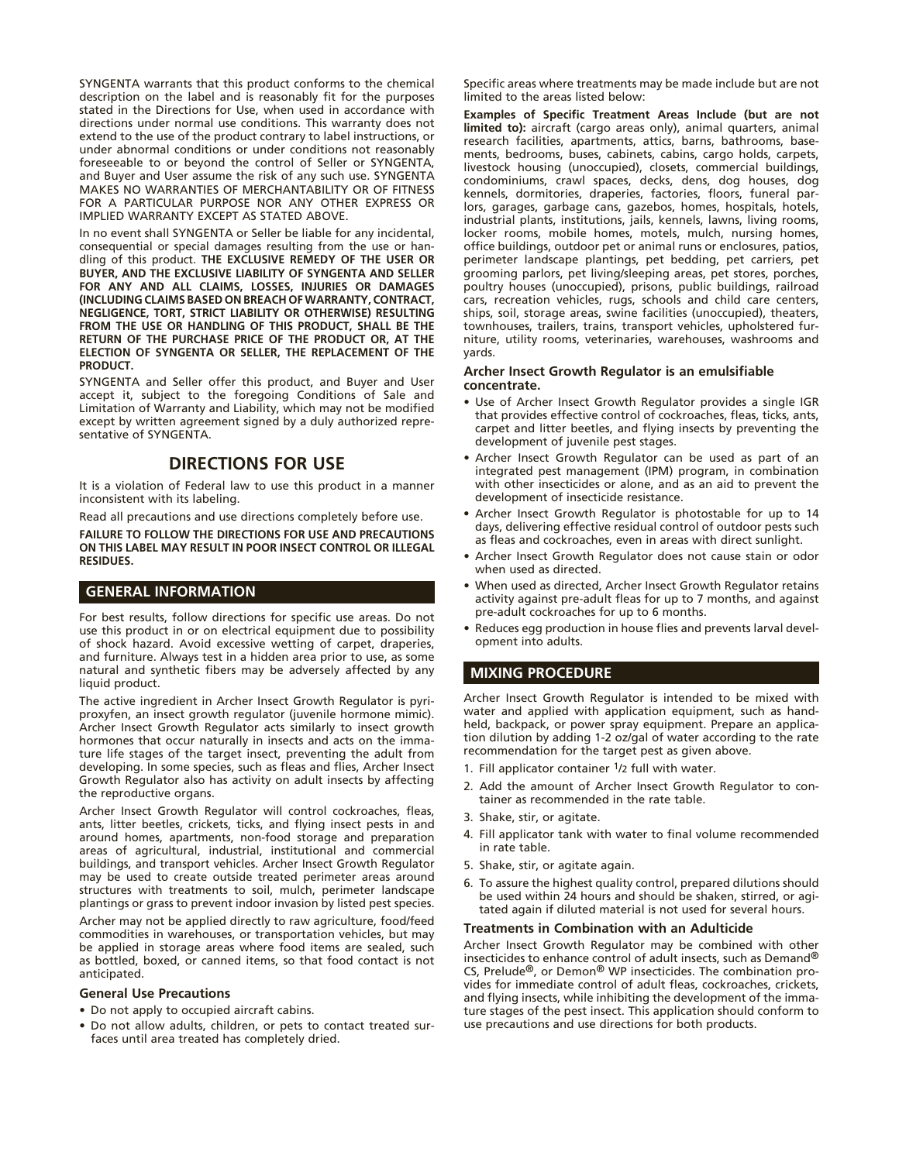SYNGENTA warrants that this product conforms to the chemical description on the label and is reasonably fit for the purposes stated in the Directions for Use, when used in accordance with directions under normal use conditions. This warranty does not extend to the use of the product contrary to label instructions, or under abnormal conditions or under conditions not reasonably foreseeable to or beyond the control of Seller or SYNGENTA, and Buyer and User assume the risk of any such use. SYNGENTA MAKES NO WARRANTIES OF MERCHANTABILITY OR OF FITNESS FOR A PARTICULAR PURPOSE NOR ANY OTHER EXPRESS OR IMPLIED WARRANTY EXCEPT AS STATED ABOVE.

In no event shall SYNGENTA or Seller be liable for any incidental, consequential or special damages resulting from the use or handling of this product. **THE EXCLUSIVE REMEDY OF THE USER OR BUYER, AND THE EXCLUSIVE LIABILITY OF SYNGENTA AND SELLER FOR ANY AND ALL CLAIMS, LOSSES, INJURIES OR DAMAGES (INCLUDING CLAIMS BASED ON BREACH OF WARRANTY, CONTRACT, NEGLIGENCE, TORT, STRICT LIABILITY OR OTHERWISE) RESULTING FROM THE USE OR HANDLING OF THIS PRODUCT, SHALL BE THE RETURN OF THE PURCHASE PRICE OF THE PRODUCT OR, AT THE ELECTION OF SYNGENTA OR SELLER, THE REPLACEMENT OF THE PRODUCT.**

SYNGENTA and Seller offer this product, and Buyer and User accept it, subject to the foregoing Conditions of Sale and Limitation of Warranty and Liability, which may not be modified except by written agreement signed by a duly authorized representative of SYNGENTA.

# **DIRECTIONS FOR USE**

It is a violation of Federal law to use this product in a manner inconsistent with its labeling.

Read all precautions and use directions completely before use.

**FAILURE TO FOLLOW THE DIRECTIONS FOR USE AND PRECAUTIONS ON THIS LABEL MAY RESULT IN POOR INSECT CONTROL OR ILLEGAL RESIDUES.**

#### **GENERAL INFORMATION**

For best results, follow directions for specific use areas. Do not use this product in or on electrical equipment due to possibility of shock hazard. Avoid excessive wetting of carpet, draperies, and furniture. Always test in a hidden area prior to use, as some natural and synthetic fibers may be adversely affected by any liquid product.

The active ingredient in Archer Insect Growth Regulator is pyriproxyfen, an insect growth regulator (juvenile hormone mimic). Archer Insect Growth Regulator acts similarly to insect growth hormones that occur naturally in insects and acts on the immature life stages of the target insect, preventing the adult from developing. In some species, such as fleas and flies, Archer Insect Growth Regulator also has activity on adult insects by affecting the reproductive organs.

Archer Insect Growth Regulator will control cockroaches, fleas, ants, litter beetles, crickets, ticks, and flying insect pests in and around homes, apartments, non-food storage and preparation areas of agricultural, industrial, institutional and commercial buildings, and transport vehicles. Archer Insect Growth Regulator may be used to create outside treated perimeter areas around structures with treatments to soil, mulch, perimeter landscape plantings or grass to prevent indoor invasion by listed pest species.

Archer may not be applied directly to raw agriculture, food/feed commodities in warehouses, or transportation vehicles, but may be applied in storage areas where food items are sealed, such as bottled, boxed, or canned items, so that food contact is not anticipated.

#### **General Use Precautions**

- Do not apply to occupied aircraft cabins.
- Do not allow adults, children, or pets to contact treated surfaces until area treated has completely dried.

Specific areas where treatments may be made include but are not limited to the areas listed below:

**Examples of Specific Treatment Areas Include (but are not limited to):** aircraft (cargo areas only), animal quarters, animal research facilities, apartments, attics, barns, bathrooms, basements, bedrooms, buses, cabinets, cabins, cargo holds, carpets, livestock housing (unoccupied), closets, commercial buildings, condominiums, crawl spaces, decks, dens, dog houses, dog kennels, dormitories, draperies, factories, floors, funeral parlors, garages, garbage cans, gazebos, homes, hospitals, hotels, industrial plants, institutions, jails, kennels, lawns, living rooms, locker rooms, mobile homes, motels, mulch, nursing homes, office buildings, outdoor pet or animal runs or enclosures, patios, perimeter landscape plantings, pet bedding, pet carriers, pet grooming parlors, pet living/sleeping areas, pet stores, porches, poultry houses (unoccupied), prisons, public buildings, railroad cars, recreation vehicles, rugs, schools and child care centers, ships, soil, storage areas, swine facilities (unoccupied), theaters, townhouses, trailers, trains, transport vehicles, upholstered furniture, utility rooms, veterinaries, warehouses, washrooms and yards.

#### **Archer Insect Growth Regulator is an emulsifiable concentrate.**

- Use of Archer Insect Growth Regulator provides a single IGR that provides effective control of cockroaches, fleas, ticks, ants, carpet and litter beetles, and flying insects by preventing the development of juvenile pest stages.
- Archer Insect Growth Regulator can be used as part of an integrated pest management (IPM) program, in combination with other insecticides or alone, and as an aid to prevent the development of insecticide resistance.
- Archer Insect Growth Regulator is photostable for up to 14 days, delivering effective residual control of outdoor pests such as fleas and cockroaches, even in areas with direct sunlight.
- Archer Insect Growth Regulator does not cause stain or odor when used as directed.
- When used as directed, Archer Insect Growth Regulator retains activity against pre-adult fleas for up to 7 months, and against pre-adult cockroaches for up to 6 months.
- Reduces egg production in house flies and prevents larval development into adults.

# **MIXING PROCEDURE**

Archer Insect Growth Regulator is intended to be mixed with water and applied with application equipment, such as handheld, backpack, or power spray equipment. Prepare an application dilution by adding 1-2 oz/gal of water according to the rate recommendation for the target pest as given above.

- 1. Fill applicator container 1/2 full with water.
- 2. Add the amount of Archer Insect Growth Regulator to container as recommended in the rate table.
- 3. Shake, stir, or agitate.
- 4. Fill applicator tank with water to final volume recommended in rate table.
- 5. Shake, stir, or agitate again.
- 6. To assure the highest quality control, prepared dilutions should be used within 24 hours and should be shaken, stirred, or agitated again if diluted material is not used for several hours.

#### **Treatments in Combination with an Adulticide**

Archer Insect Growth Regulator may be combined with other insecticides to enhance control of adult insects, such as Demand® CS, Prelude®, or Demon® WP insecticides. The combination provides for immediate control of adult fleas, cockroaches, crickets, and flying insects, while inhibiting the development of the immature stages of the pest insect. This application should conform to use precautions and use directions for both products.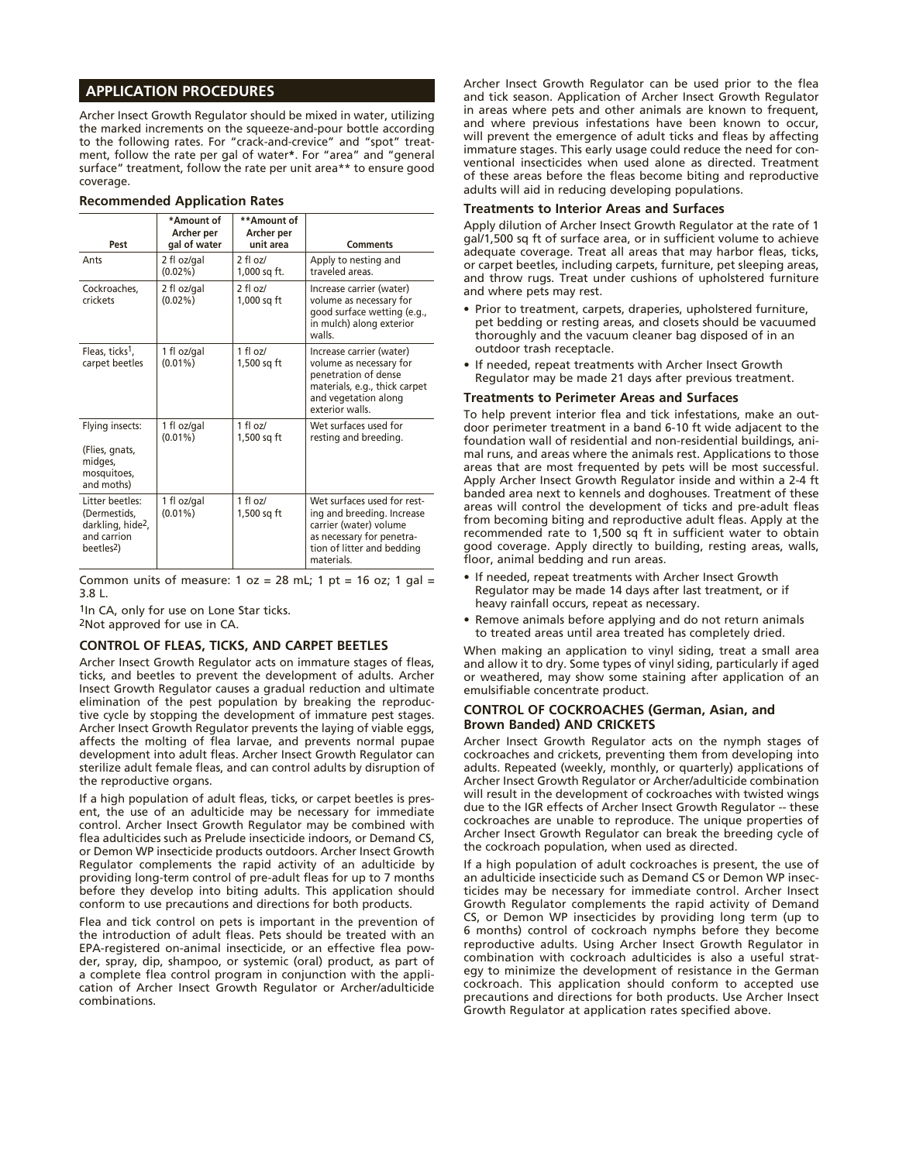# **APPLICATION PROCEDURES**

Archer Insect Growth Regulator should be mixed in water, utilizing the marked increments on the squeeze-and-pour bottle according to the following rates. For "crack-and-crevice" and "spot" treatment, follow the rate per gal of water**\***. For "area" and "general surface" treatment, follow the rate per unit area\*\* to ensure good coverage.

| Pest                                                                                                      | *Amount of<br>Archer per<br>gal of water | **Amount of<br><b>Archer per</b><br>unit area | <b>Comments</b>                                                                                                                                              |
|-----------------------------------------------------------------------------------------------------------|------------------------------------------|-----------------------------------------------|--------------------------------------------------------------------------------------------------------------------------------------------------------------|
| Ants                                                                                                      | 2 fl oz/gal<br>$(0.02\%)$                | $2$ fl oz/<br>1.000 sa ft.                    | Apply to nesting and<br>traveled areas.                                                                                                                      |
| Cockroaches.<br>crickets                                                                                  | 2 fl oz/gal<br>$(0.02\%)$                | $2$ fl $0z$<br>1,000 sq ft                    | Increase carrier (water)<br>volume as necessary for<br>good surface wetting (e.g.,<br>in mulch) along exterior<br>walls.                                     |
| Fleas, ticks <sup>1</sup> ,<br>carpet beetles                                                             | 1 fl oz/gal<br>$(0.01\%)$                | $1$ fl oz/<br>$1,500$ sq ft                   | Increase carrier (water)<br>volume as necessary for<br>penetration of dense<br>materials, e.g., thick carpet<br>and vegetation along<br>exterior walls.      |
| Flying insects:<br>(Flies, gnats,<br>midges,<br>mosquitoes,<br>and moths)                                 | 1 fl oz/gal<br>$(0.01\%)$                | $1$ fl oz/<br>1,500 sq ft                     | Wet surfaces used for<br>resting and breeding.                                                                                                               |
| Litter beetles:<br>(Dermestids,<br>darkling, hide <sup>2</sup> ,<br>and carrion<br>beetles <sup>2</sup> ) | 1 fl oz/gal<br>$(0.01\%)$                | 1 fl $\alpha z$ /<br>1,500 sq ft              | Wet surfaces used for rest-<br>ing and breeding. Increase<br>carrier (water) volume<br>as necessary for penetra-<br>tion of litter and bedding<br>materials. |

#### **Recommended Application Rates**

Common units of measure:  $1 oz = 28 mL$ ;  $1 pt = 16 oz$ ;  $1 gal =$ 3.8 L.

1In CA, only for use on Lone Star ticks.

2Not approved for use in CA.

#### **CONTROL OF FLEAS, TICKS, AND CARPET BEETLES**

Archer Insect Growth Regulator acts on immature stages of fleas, ticks, and beetles to prevent the development of adults. Archer Insect Growth Regulator causes a gradual reduction and ultimate elimination of the pest population by breaking the reproductive cycle by stopping the development of immature pest stages. Archer Insect Growth Regulator prevents the laying of viable eggs, affects the molting of flea larvae, and prevents normal pupae development into adult fleas. Archer Insect Growth Regulator can sterilize adult female fleas, and can control adults by disruption of the reproductive organs.

If a high population of adult fleas, ticks, or carpet beetles is present, the use of an adulticide may be necessary for immediate control. Archer Insect Growth Regulator may be combined with flea adulticides such as Prelude insecticide indoors, or Demand CS, or Demon WP insecticide products outdoors. Archer Insect Growth Regulator complements the rapid activity of an adulticide by providing long-term control of pre-adult fleas for up to 7 months before they develop into biting adults. This application should conform to use precautions and directions for both products.

Flea and tick control on pets is important in the prevention of the introduction of adult fleas. Pets should be treated with an EPA-registered on-animal insecticide, or an effective flea powder, spray, dip, shampoo, or systemic (oral) product, as part of a complete flea control program in conjunction with the application of Archer Insect Growth Regulator or Archer/adulticide combinations.

Archer Insect Growth Regulator can be used prior to the flea and tick season. Application of Archer Insect Growth Regulator in areas where pets and other animals are known to frequent, and where previous infestations have been known to occur, will prevent the emergence of adult ticks and fleas by affecting immature stages. This early usage could reduce the need for conventional insecticides when used alone as directed. Treatment of these areas before the fleas become biting and reproductive adults will aid in reducing developing populations.

#### **Treatments to Interior Areas and Surfaces**

Apply dilution of Archer Insect Growth Regulator at the rate of 1 gal/1,500 sq ft of surface area, or in sufficient volume to achieve adequate coverage. Treat all areas that may harbor fleas, ticks, or carpet beetles, including carpets, furniture, pet sleeping areas, and throw rugs. Treat under cushions of upholstered furniture and where pets may rest.

- Prior to treatment, carpets, draperies, upholstered furniture, pet bedding or resting areas, and closets should be vacuumed thoroughly and the vacuum cleaner bag disposed of in an outdoor trash receptacle.
- If needed, repeat treatments with Archer Insect Growth Regulator may be made 21 days after previous treatment.

#### **Treatments to Perimeter Areas and Surfaces**

To help prevent interior flea and tick infestations, make an outdoor perimeter treatment in a band 6-10 ft wide adjacent to the foundation wall of residential and non-residential buildings, animal runs, and areas where the animals rest. Applications to those areas that are most frequented by pets will be most successful. Apply Archer Insect Growth Regulator inside and within a 2-4 ft banded area next to kennels and doghouses. Treatment of these areas will control the development of ticks and pre-adult fleas from becoming biting and reproductive adult fleas. Apply at the recommended rate to 1,500 sq ft in sufficient water to obtain good coverage. Apply directly to building, resting areas, walls, floor, animal bedding and run areas.

- If needed, repeat treatments with Archer Insect Growth Regulator may be made 14 days after last treatment, or if heavy rainfall occurs, repeat as necessary.
- Remove animals before applying and do not return animals to treated areas until area treated has completely dried.

When making an application to vinyl siding, treat a small area and allow it to dry. Some types of vinyl siding, particularly if aged or weathered, may show some staining after application of an emulsifiable concentrate product.

#### **CONTROL OF COCKROACHES (German, Asian, and Brown Banded) AND CRICKETS**

Archer Insect Growth Regulator acts on the nymph stages of cockroaches and crickets, preventing them from developing into adults. Repeated (weekly, monthly, or quarterly) applications of Archer Insect Growth Regulator or Archer/adulticide combination will result in the development of cockroaches with twisted wings due to the IGR effects of Archer Insect Growth Regulator -- these cockroaches are unable to reproduce. The unique properties of Archer Insect Growth Regulator can break the breeding cycle of the cockroach population, when used as directed.

If a high population of adult cockroaches is present, the use of an adulticide insecticide such as Demand CS or Demon WP insecticides may be necessary for immediate control. Archer Insect Growth Regulator complements the rapid activity of Demand CS, or Demon WP insecticides by providing long term (up to 6 months) control of cockroach nymphs before they become reproductive adults. Using Archer Insect Growth Regulator in combination with cockroach adulticides is also a useful strategy to minimize the development of resistance in the German cockroach. This application should conform to accepted use precautions and directions for both products. Use Archer Insect Growth Regulator at application rates specified above.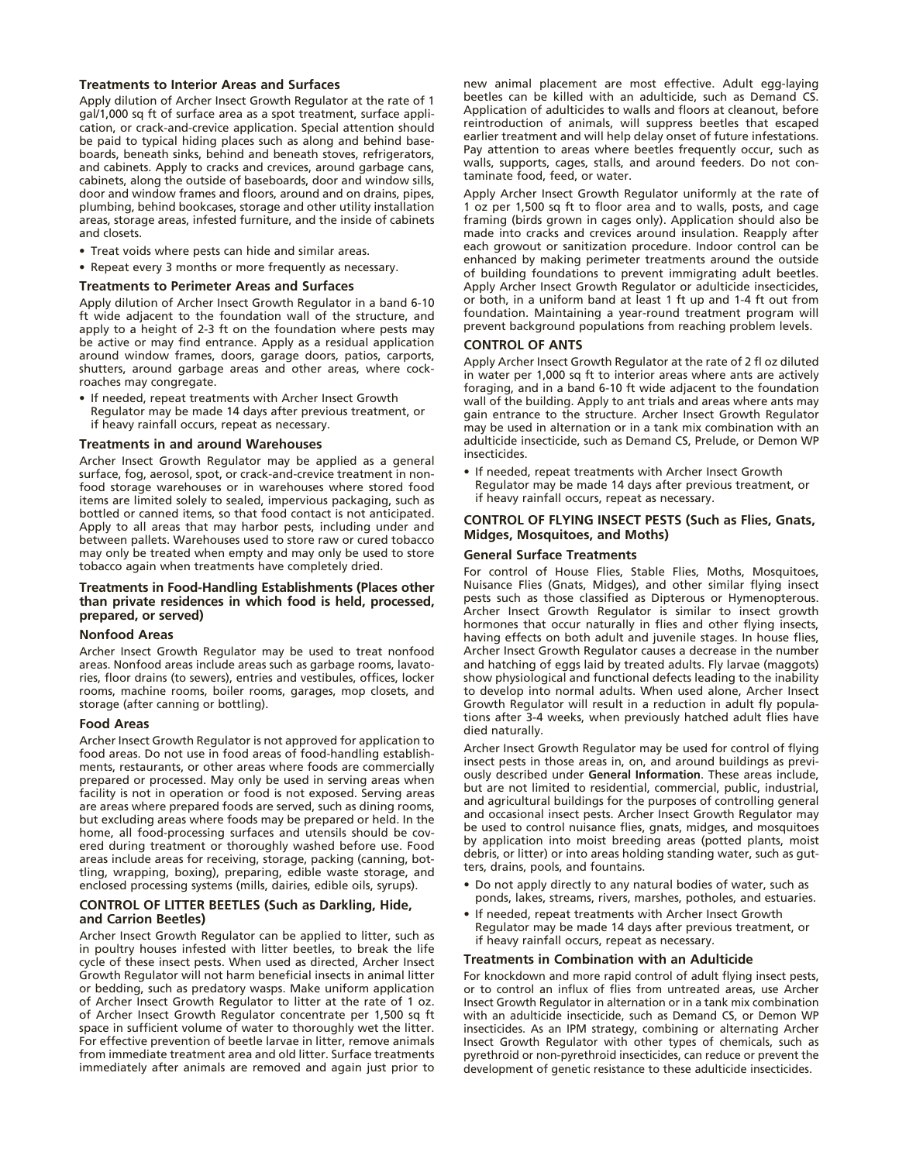#### **Treatments to Interior Areas and Surfaces**

Apply dilution of Archer Insect Growth Regulator at the rate of 1 gal/1,000 sq ft of surface area as a spot treatment, surface application, or crack-and-crevice application. Special attention should be paid to typical hiding places such as along and behind baseboards, beneath sinks, behind and beneath stoves, refrigerators, and cabinets. Apply to cracks and crevices, around garbage cans, cabinets, along the outside of baseboards, door and window sills, door and window frames and floors, around and on drains, pipes, plumbing, behind bookcases, storage and other utility installation areas, storage areas, infested furniture, and the inside of cabinets and closets.

- Treat voids where pests can hide and similar areas.
- Repeat every 3 months or more frequently as necessary.

#### **Treatments to Perimeter Areas and Surfaces**

Apply dilution of Archer Insect Growth Regulator in a band 6-10 ft wide adjacent to the foundation wall of the structure, and apply to a height of 2-3 ft on the foundation where pests may be active or may find entrance. Apply as a residual application around window frames, doors, garage doors, patios, carports, shutters, around garbage areas and other areas, where cockroaches may congregate.

• If needed, repeat treatments with Archer Insect Growth Regulator may be made 14 days after previous treatment, or if heavy rainfall occurs, repeat as necessary.

#### **Treatments in and around Warehouses**

Archer Insect Growth Regulator may be applied as a general surface, fog, aerosol, spot, or crack-and-crevice treatment in nonfood storage warehouses or in warehouses where stored food items are limited solely to sealed, impervious packaging, such as bottled or canned items, so that food contact is not anticipated. Apply to all areas that may harbor pests, including under and between pallets. Warehouses used to store raw or cured tobacco may only be treated when empty and may only be used to store tobacco again when treatments have completely dried.

#### **Treatments in Food-Handling Establishments (Places other than private residences in which food is held, processed, prepared, or served)**

#### **Nonfood Areas**

Archer Insect Growth Regulator may be used to treat nonfood areas. Nonfood areas include areas such as garbage rooms, lavatories, floor drains (to sewers), entries and vestibules, offices, locker rooms, machine rooms, boiler rooms, garages, mop closets, and storage (after canning or bottling).

#### **Food Areas**

Archer Insect Growth Regulator is not approved for application to food areas. Do not use in food areas of food-handling establishments, restaurants, or other areas where foods are commercially prepared or processed. May only be used in serving areas when facility is not in operation or food is not exposed. Serving areas are areas where prepared foods are served, such as dining rooms, but excluding areas where foods may be prepared or held. In the home, all food-processing surfaces and utensils should be covered during treatment or thoroughly washed before use. Food areas include areas for receiving, storage, packing (canning, bottling, wrapping, boxing), preparing, edible waste storage, and enclosed processing systems (mills, dairies, edible oils, syrups).

#### **CONTROL OF LITTER BEETLES (Such as Darkling, Hide, and Carrion Beetles)**

Archer Insect Growth Regulator can be applied to litter, such as in poultry houses infested with litter beetles, to break the life cycle of these insect pests. When used as directed, Archer Insect Growth Regulator will not harm beneficial insects in animal litter or bedding, such as predatory wasps. Make uniform application of Archer Insect Growth Regulator to litter at the rate of 1 oz. of Archer Insect Growth Regulator concentrate per 1,500 sq ft space in sufficient volume of water to thoroughly wet the litter. For effective prevention of beetle larvae in litter, remove animals from immediate treatment area and old litter. Surface treatments immediately after animals are removed and again just prior to new animal placement are most effective. Adult egg-laying beetles can be killed with an adulticide, such as Demand CS. Application of adulticides to walls and floors at cleanout, before reintroduction of animals, will suppress beetles that escaped earlier treatment and will help delay onset of future infestations. Pay attention to areas where beetles frequently occur, such as walls, supports, cages, stalls, and around feeders. Do not contaminate food, feed, or water.

Apply Archer Insect Growth Regulator uniformly at the rate of 1 oz per 1,500 sq ft to floor area and to walls, posts, and cage framing (birds grown in cages only). Application should also be made into cracks and crevices around insulation. Reapply after each growout or sanitization procedure. Indoor control can be enhanced by making perimeter treatments around the outside of building foundations to prevent immigrating adult beetles. Apply Archer Insect Growth Regulator or adulticide insecticides, or both, in a uniform band at least 1 ft up and 1-4 ft out from foundation. Maintaining a year-round treatment program will prevent background populations from reaching problem levels.

#### **CONTROL OF ANTS**

Apply Archer Insect Growth Regulator at the rate of 2 fl oz diluted in water per 1,000 sq ft to interior areas where ants are actively foraging, and in a band 6-10 ft wide adjacent to the foundation wall of the building. Apply to ant trials and areas where ants may gain entrance to the structure. Archer Insect Growth Regulator may be used in alternation or in a tank mix combination with an adulticide insecticide, such as Demand CS, Prelude, or Demon WP insecticides.

• If needed, repeat treatments with Archer Insect Growth Regulator may be made 14 days after previous treatment, or if heavy rainfall occurs, repeat as necessary.

#### **CONTROL OF FLYING INSECT PESTS (Such as Flies, Gnats, Midges, Mosquitoes, and Moths)**

#### **General Surface Treatments**

For control of House Flies, Stable Flies, Moths, Mosquitoes, Nuisance Flies (Gnats, Midges), and other similar flying insect pests such as those classified as Dipterous or Hymenopterous. Archer Insect Growth Regulator is similar to insect growth hormones that occur naturally in flies and other flying insects, having effects on both adult and juvenile stages. In house flies, Archer Insect Growth Regulator causes a decrease in the number and hatching of eggs laid by treated adults. Fly larvae (maggots) show physiological and functional defects leading to the inability to develop into normal adults. When used alone, Archer Insect Growth Regulator will result in a reduction in adult fly populations after 3-4 weeks, when previously hatched adult flies have died naturally.

Archer Insect Growth Regulator may be used for control of flying insect pests in those areas in, on, and around buildings as previously described under **General Information**. These areas include, but are not limited to residential, commercial, public, industrial, and agricultural buildings for the purposes of controlling general and occasional insect pests. Archer Insect Growth Regulator may be used to control nuisance flies, gnats, midges, and mosquitoes by application into moist breeding areas (potted plants, moist debris, or litter) or into areas holding standing water, such as gutters, drains, pools, and fountains.

- Do not apply directly to any natural bodies of water, such as ponds, lakes, streams, rivers, marshes, potholes, and estuaries.
- If needed, repeat treatments with Archer Insect Growth Regulator may be made 14 days after previous treatment, or if heavy rainfall occurs, repeat as necessary.

#### **Treatments in Combination with an Adulticide**

For knockdown and more rapid control of adult flying insect pests, or to control an influx of flies from untreated areas, use Archer Insect Growth Regulator in alternation or in a tank mix combination with an adulticide insecticide, such as Demand CS, or Demon WP insecticides. As an IPM strategy, combining or alternating Archer Insect Growth Regulator with other types of chemicals, such as pyrethroid or non-pyrethroid insecticides, can reduce or prevent the development of genetic resistance to these adulticide insecticides.